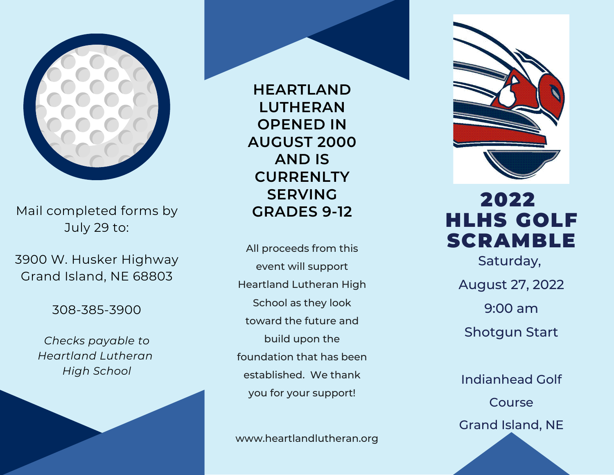

Mail completed forms by July 29 to:

3900 W. Husker Highway Grand Island, NE 68803

308-385-3900

*Checks payable to Heartland Lutheran High School*

**HEARTLAND LUTHERAN OPENED IN AUGUST 2000 AND IS CURRENLTY SERVING GRADES 9-12**

All proceeds from this event will support Heartland Lutheran High School as they look toward the future and build upon the foundation that has been established. We thank you for your support!

www.heartlandlutheran.org



## 2022 HLHS GOLF SCRAMBLE

Saturday, August 27, 2022 9:00 am Shotgun Start

Indianhead Golf Course Grand Island, NE